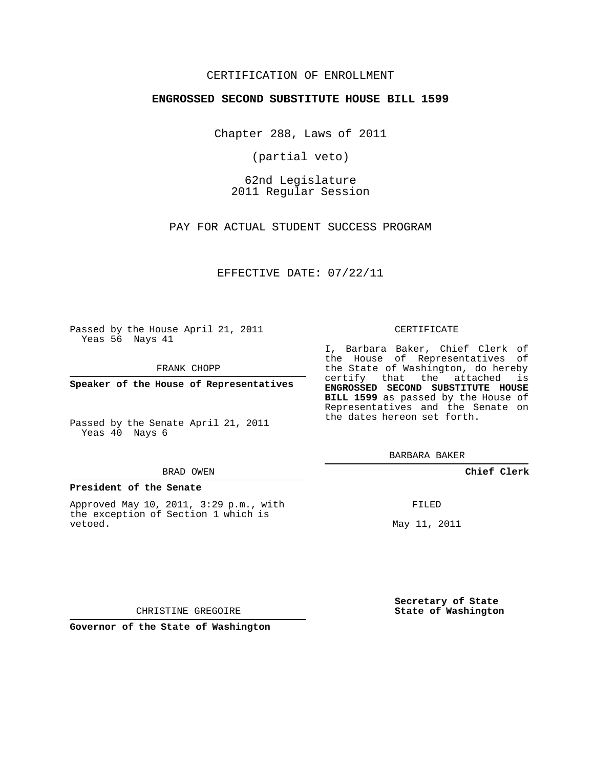### CERTIFICATION OF ENROLLMENT

### **ENGROSSED SECOND SUBSTITUTE HOUSE BILL 1599**

Chapter 288, Laws of 2011

(partial veto)

62nd Legislature 2011 Regular Session

PAY FOR ACTUAL STUDENT SUCCESS PROGRAM

EFFECTIVE DATE: 07/22/11

Passed by the House April 21, 2011 Yeas 56 Nays 41

FRANK CHOPP

**Speaker of the House of Representatives**

Passed by the Senate April 21, 2011 Yeas 40 Nays 6

#### BRAD OWEN

#### **President of the Senate**

Approved May 10, 2011, 3:29 p.m., with the exception of Section 1 which is vetoed.

#### CERTIFICATE

I, Barbara Baker, Chief Clerk of the House of Representatives of the State of Washington, do hereby certify that the attached is **ENGROSSED SECOND SUBSTITUTE HOUSE BILL 1599** as passed by the House of Representatives and the Senate on the dates hereon set forth.

BARBARA BAKER

**Chief Clerk**

FILED

May 11, 2011

**Secretary of State State of Washington**

CHRISTINE GREGOIRE

**Governor of the State of Washington**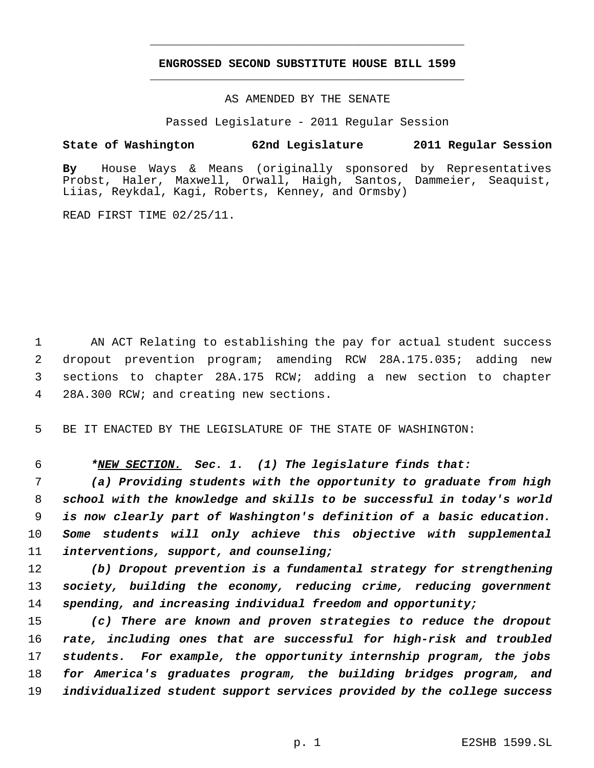# **ENGROSSED SECOND SUBSTITUTE HOUSE BILL 1599** \_\_\_\_\_\_\_\_\_\_\_\_\_\_\_\_\_\_\_\_\_\_\_\_\_\_\_\_\_\_\_\_\_\_\_\_\_\_\_\_\_\_\_\_\_

\_\_\_\_\_\_\_\_\_\_\_\_\_\_\_\_\_\_\_\_\_\_\_\_\_\_\_\_\_\_\_\_\_\_\_\_\_\_\_\_\_\_\_\_\_

### AS AMENDED BY THE SENATE

Passed Legislature - 2011 Regular Session

## **State of Washington 62nd Legislature 2011 Regular Session**

**By** House Ways & Means (originally sponsored by Representatives Probst, Haler, Maxwell, Orwall, Haigh, Santos, Dammeier, Seaquist, Liias, Reykdal, Kagi, Roberts, Kenney, and Ormsby)

READ FIRST TIME 02/25/11.

 AN ACT Relating to establishing the pay for actual student success dropout prevention program; amending RCW 28A.175.035; adding new sections to chapter 28A.175 RCW; adding a new section to chapter 28A.300 RCW; and creating new sections.

BE IT ENACTED BY THE LEGISLATURE OF THE STATE OF WASHINGTON:

*\*NEW SECTION. Sec. 1. (1) The legislature finds that:*

 *(a) Providing students with the opportunity to graduate from high school with the knowledge and skills to be successful in today's world is now clearly part of Washington's definition of a basic education. Some students will only achieve this objective with supplemental interventions, support, and counseling;*

 *(b) Dropout prevention is a fundamental strategy for strengthening society, building the economy, reducing crime, reducing government spending, and increasing individual freedom and opportunity;*

 *(c) There are known and proven strategies to reduce the dropout rate, including ones that are successful for high-risk and troubled students. For example, the opportunity internship program, the jobs for America's graduates program, the building bridges program, and individualized student support services provided by the college success*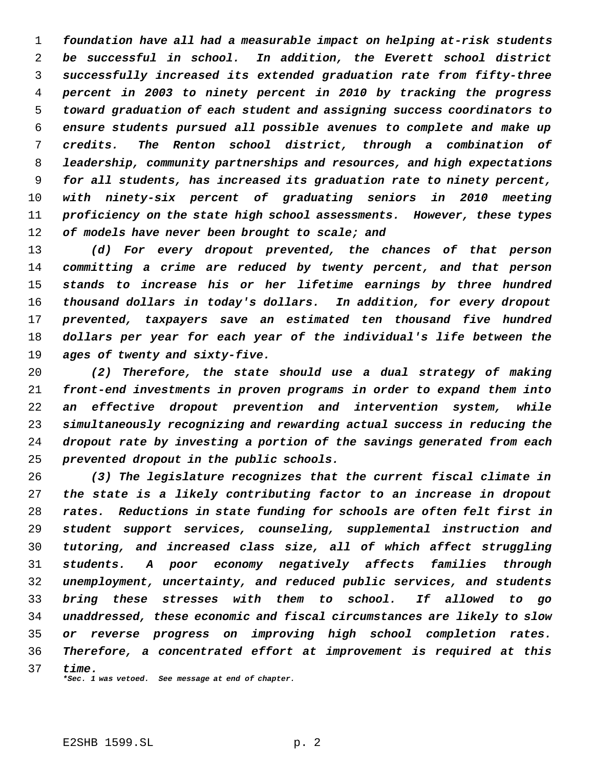*foundation have all had a measurable impact on helping at-risk students be successful in school. In addition, the Everett school district successfully increased its extended graduation rate from fifty-three percent in 2003 to ninety percent in 2010 by tracking the progress toward graduation of each student and assigning success coordinators to ensure students pursued all possible avenues to complete and make up credits. The Renton school district, through a combination of leadership, community partnerships and resources, and high expectations for all students, has increased its graduation rate to ninety percent, with ninety-six percent of graduating seniors in 2010 meeting proficiency on the state high school assessments. However, these types of models have never been brought to scale; and*

 *(d) For every dropout prevented, the chances of that person committing a crime are reduced by twenty percent, and that person stands to increase his or her lifetime earnings by three hundred thousand dollars in today's dollars. In addition, for every dropout prevented, taxpayers save an estimated ten thousand five hundred dollars per year for each year of the individual's life between the ages of twenty and sixty-five.*

 *(2) Therefore, the state should use a dual strategy of making front-end investments in proven programs in order to expand them into an effective dropout prevention and intervention system, while simultaneously recognizing and rewarding actual success in reducing the dropout rate by investing a portion of the savings generated from each prevented dropout in the public schools.*

 *(3) The legislature recognizes that the current fiscal climate in the state is a likely contributing factor to an increase in dropout rates. Reductions in state funding for schools are often felt first in student support services, counseling, supplemental instruction and tutoring, and increased class size, all of which affect struggling students. A poor economy negatively affects families through unemployment, uncertainty, and reduced public services, and students bring these stresses with them to school. If allowed to go unaddressed, these economic and fiscal circumstances are likely to slow or reverse progress on improving high school completion rates. Therefore, a concentrated effort at improvement is required at this time.*

*\*Sec. 1 was vetoed. See message at end of chapter.*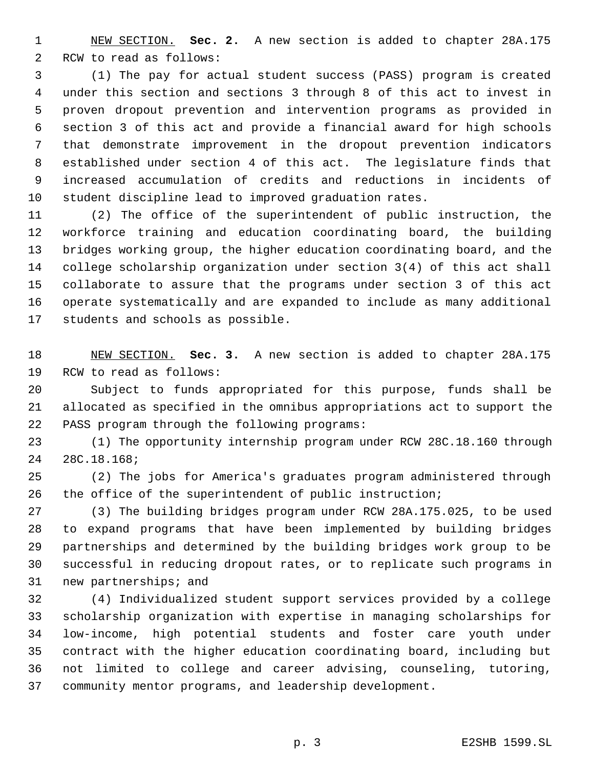NEW SECTION. **Sec. 2.** A new section is added to chapter 28A.175 RCW to read as follows:

 (1) The pay for actual student success (PASS) program is created under this section and sections 3 through 8 of this act to invest in proven dropout prevention and intervention programs as provided in section 3 of this act and provide a financial award for high schools that demonstrate improvement in the dropout prevention indicators established under section 4 of this act. The legislature finds that increased accumulation of credits and reductions in incidents of student discipline lead to improved graduation rates.

 (2) The office of the superintendent of public instruction, the workforce training and education coordinating board, the building bridges working group, the higher education coordinating board, and the college scholarship organization under section 3(4) of this act shall collaborate to assure that the programs under section 3 of this act operate systematically and are expanded to include as many additional students and schools as possible.

 NEW SECTION. **Sec. 3.** A new section is added to chapter 28A.175 RCW to read as follows:

 Subject to funds appropriated for this purpose, funds shall be allocated as specified in the omnibus appropriations act to support the PASS program through the following programs:

 (1) The opportunity internship program under RCW 28C.18.160 through 28C.18.168;

 (2) The jobs for America's graduates program administered through the office of the superintendent of public instruction;

 (3) The building bridges program under RCW 28A.175.025, to be used to expand programs that have been implemented by building bridges partnerships and determined by the building bridges work group to be successful in reducing dropout rates, or to replicate such programs in new partnerships; and

 (4) Individualized student support services provided by a college scholarship organization with expertise in managing scholarships for low-income, high potential students and foster care youth under contract with the higher education coordinating board, including but not limited to college and career advising, counseling, tutoring, community mentor programs, and leadership development.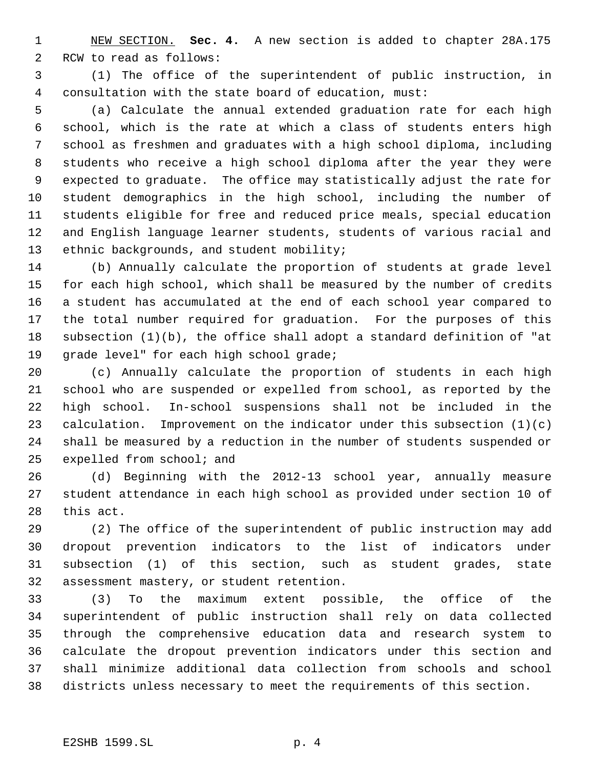NEW SECTION. **Sec. 4.** A new section is added to chapter 28A.175 RCW to read as follows:

 (1) The office of the superintendent of public instruction, in consultation with the state board of education, must:

 (a) Calculate the annual extended graduation rate for each high school, which is the rate at which a class of students enters high school as freshmen and graduates with a high school diploma, including students who receive a high school diploma after the year they were expected to graduate. The office may statistically adjust the rate for student demographics in the high school, including the number of students eligible for free and reduced price meals, special education and English language learner students, students of various racial and ethnic backgrounds, and student mobility;

 (b) Annually calculate the proportion of students at grade level for each high school, which shall be measured by the number of credits a student has accumulated at the end of each school year compared to the total number required for graduation. For the purposes of this subsection (1)(b), the office shall adopt a standard definition of "at grade level" for each high school grade;

 (c) Annually calculate the proportion of students in each high school who are suspended or expelled from school, as reported by the high school. In-school suspensions shall not be included in the calculation. Improvement on the indicator under this subsection (1)(c) shall be measured by a reduction in the number of students suspended or expelled from school; and

 (d) Beginning with the 2012-13 school year, annually measure student attendance in each high school as provided under section 10 of this act.

 (2) The office of the superintendent of public instruction may add dropout prevention indicators to the list of indicators under subsection (1) of this section, such as student grades, state assessment mastery, or student retention.

 (3) To the maximum extent possible, the office of the superintendent of public instruction shall rely on data collected through the comprehensive education data and research system to calculate the dropout prevention indicators under this section and shall minimize additional data collection from schools and school districts unless necessary to meet the requirements of this section.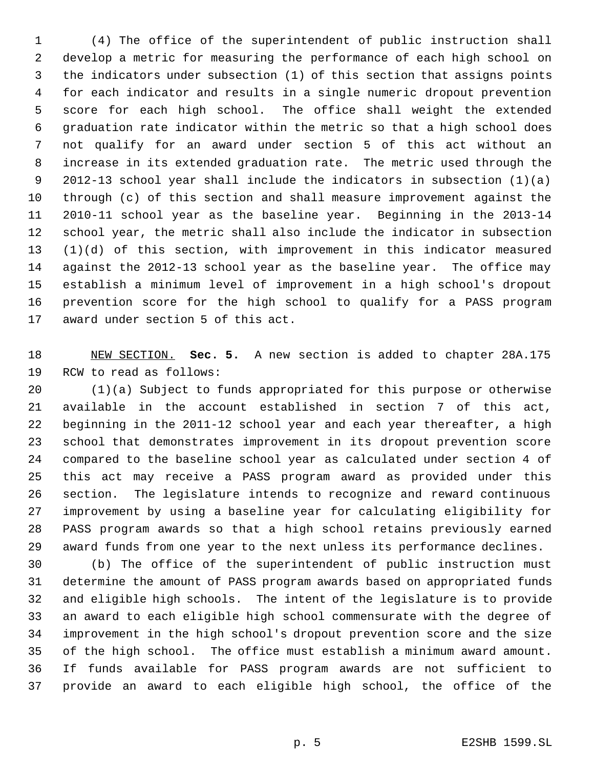(4) The office of the superintendent of public instruction shall develop a metric for measuring the performance of each high school on the indicators under subsection (1) of this section that assigns points for each indicator and results in a single numeric dropout prevention score for each high school. The office shall weight the extended graduation rate indicator within the metric so that a high school does not qualify for an award under section 5 of this act without an increase in its extended graduation rate. The metric used through the 2012-13 school year shall include the indicators in subsection (1)(a) through (c) of this section and shall measure improvement against the 2010-11 school year as the baseline year. Beginning in the 2013-14 school year, the metric shall also include the indicator in subsection (1)(d) of this section, with improvement in this indicator measured against the 2012-13 school year as the baseline year. The office may establish a minimum level of improvement in a high school's dropout prevention score for the high school to qualify for a PASS program award under section 5 of this act.

 NEW SECTION. **Sec. 5.** A new section is added to chapter 28A.175 RCW to read as follows:

 (1)(a) Subject to funds appropriated for this purpose or otherwise available in the account established in section 7 of this act, beginning in the 2011-12 school year and each year thereafter, a high school that demonstrates improvement in its dropout prevention score compared to the baseline school year as calculated under section 4 of this act may receive a PASS program award as provided under this section. The legislature intends to recognize and reward continuous improvement by using a baseline year for calculating eligibility for PASS program awards so that a high school retains previously earned award funds from one year to the next unless its performance declines.

 (b) The office of the superintendent of public instruction must determine the amount of PASS program awards based on appropriated funds and eligible high schools. The intent of the legislature is to provide an award to each eligible high school commensurate with the degree of improvement in the high school's dropout prevention score and the size of the high school. The office must establish a minimum award amount. If funds available for PASS program awards are not sufficient to provide an award to each eligible high school, the office of the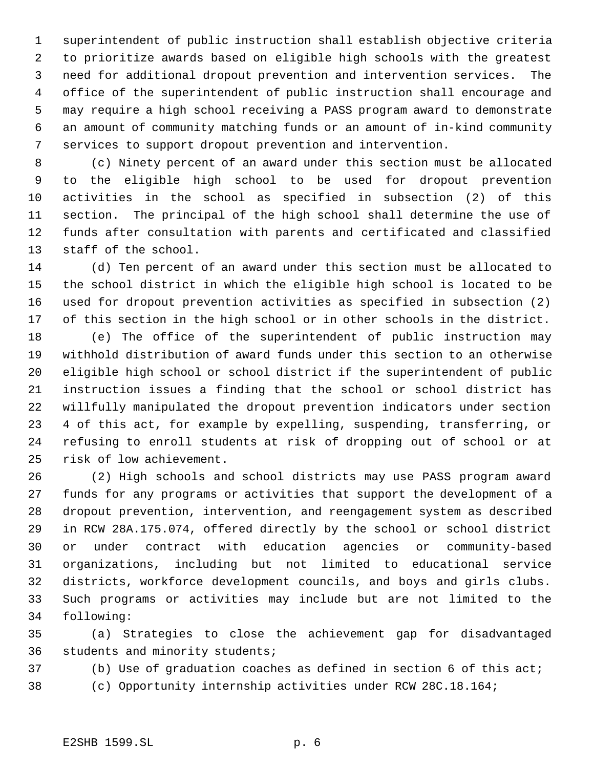superintendent of public instruction shall establish objective criteria to prioritize awards based on eligible high schools with the greatest need for additional dropout prevention and intervention services. The office of the superintendent of public instruction shall encourage and may require a high school receiving a PASS program award to demonstrate an amount of community matching funds or an amount of in-kind community services to support dropout prevention and intervention.

 (c) Ninety percent of an award under this section must be allocated to the eligible high school to be used for dropout prevention activities in the school as specified in subsection (2) of this section. The principal of the high school shall determine the use of funds after consultation with parents and certificated and classified staff of the school.

 (d) Ten percent of an award under this section must be allocated to the school district in which the eligible high school is located to be used for dropout prevention activities as specified in subsection (2) of this section in the high school or in other schools in the district.

 (e) The office of the superintendent of public instruction may withhold distribution of award funds under this section to an otherwise eligible high school or school district if the superintendent of public instruction issues a finding that the school or school district has willfully manipulated the dropout prevention indicators under section 4 of this act, for example by expelling, suspending, transferring, or refusing to enroll students at risk of dropping out of school or at risk of low achievement.

 (2) High schools and school districts may use PASS program award funds for any programs or activities that support the development of a dropout prevention, intervention, and reengagement system as described in RCW 28A.175.074, offered directly by the school or school district or under contract with education agencies or community-based organizations, including but not limited to educational service districts, workforce development councils, and boys and girls clubs. Such programs or activities may include but are not limited to the following:

 (a) Strategies to close the achievement gap for disadvantaged students and minority students;

(b) Use of graduation coaches as defined in section 6 of this act;

(c) Opportunity internship activities under RCW 28C.18.164;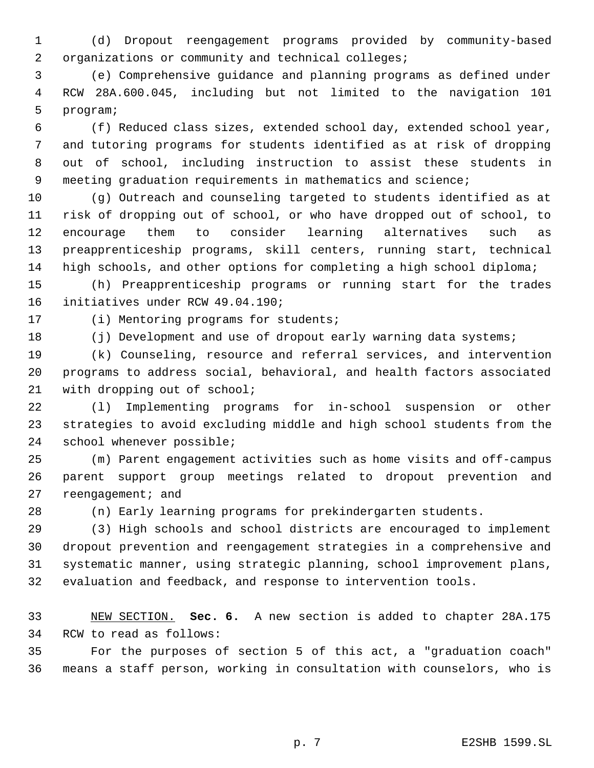(d) Dropout reengagement programs provided by community-based organizations or community and technical colleges;

 (e) Comprehensive guidance and planning programs as defined under RCW 28A.600.045, including but not limited to the navigation 101 program;

 (f) Reduced class sizes, extended school day, extended school year, and tutoring programs for students identified as at risk of dropping out of school, including instruction to assist these students in meeting graduation requirements in mathematics and science;

 (g) Outreach and counseling targeted to students identified as at risk of dropping out of school, or who have dropped out of school, to encourage them to consider learning alternatives such as preapprenticeship programs, skill centers, running start, technical high schools, and other options for completing a high school diploma;

 (h) Preapprenticeship programs or running start for the trades initiatives under RCW 49.04.190;

(i) Mentoring programs for students;

18 (j) Development and use of dropout early warning data systems;

 (k) Counseling, resource and referral services, and intervention programs to address social, behavioral, and health factors associated with dropping out of school;

 (l) Implementing programs for in-school suspension or other strategies to avoid excluding middle and high school students from the school whenever possible;

 (m) Parent engagement activities such as home visits and off-campus parent support group meetings related to dropout prevention and 27 reengagement; and

(n) Early learning programs for prekindergarten students.

 (3) High schools and school districts are encouraged to implement dropout prevention and reengagement strategies in a comprehensive and systematic manner, using strategic planning, school improvement plans, evaluation and feedback, and response to intervention tools.

 NEW SECTION. **Sec. 6.** A new section is added to chapter 28A.175 RCW to read as follows:

 For the purposes of section 5 of this act, a "graduation coach" means a staff person, working in consultation with counselors, who is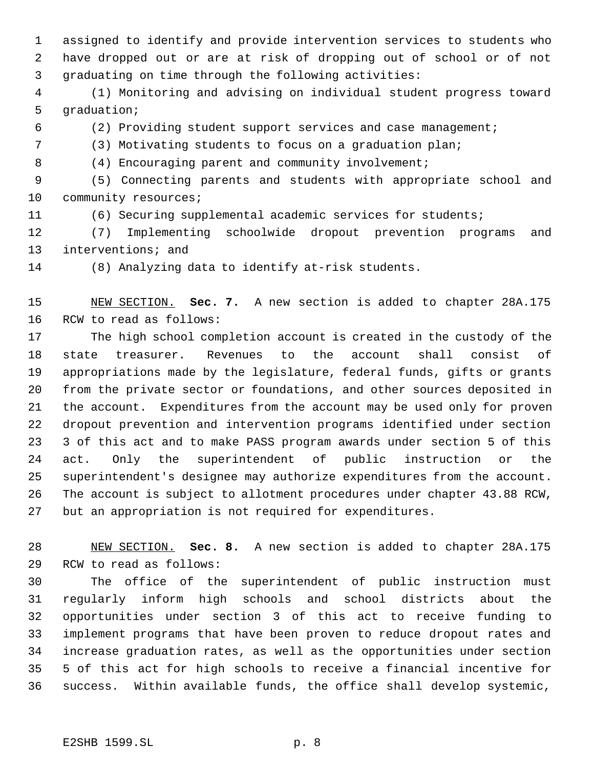assigned to identify and provide intervention services to students who have dropped out or are at risk of dropping out of school or of not graduating on time through the following activities:

 (1) Monitoring and advising on individual student progress toward graduation;

(2) Providing student support services and case management;

- (3) Motivating students to focus on a graduation plan;
- 

8 (4) Encouraging parent and community involvement;

 (5) Connecting parents and students with appropriate school and 10 community resources;

(6) Securing supplemental academic services for students;

 (7) Implementing schoolwide dropout prevention programs and interventions; and

(8) Analyzing data to identify at-risk students.

 NEW SECTION. **Sec. 7.** A new section is added to chapter 28A.175 RCW to read as follows:

 The high school completion account is created in the custody of the state treasurer. Revenues to the account shall consist of appropriations made by the legislature, federal funds, gifts or grants from the private sector or foundations, and other sources deposited in the account. Expenditures from the account may be used only for proven dropout prevention and intervention programs identified under section 3 of this act and to make PASS program awards under section 5 of this act. Only the superintendent of public instruction or the superintendent's designee may authorize expenditures from the account. The account is subject to allotment procedures under chapter 43.88 RCW, but an appropriation is not required for expenditures.

 NEW SECTION. **Sec. 8.** A new section is added to chapter 28A.175 RCW to read as follows:

 The office of the superintendent of public instruction must regularly inform high schools and school districts about the opportunities under section 3 of this act to receive funding to implement programs that have been proven to reduce dropout rates and increase graduation rates, as well as the opportunities under section 5 of this act for high schools to receive a financial incentive for success. Within available funds, the office shall develop systemic,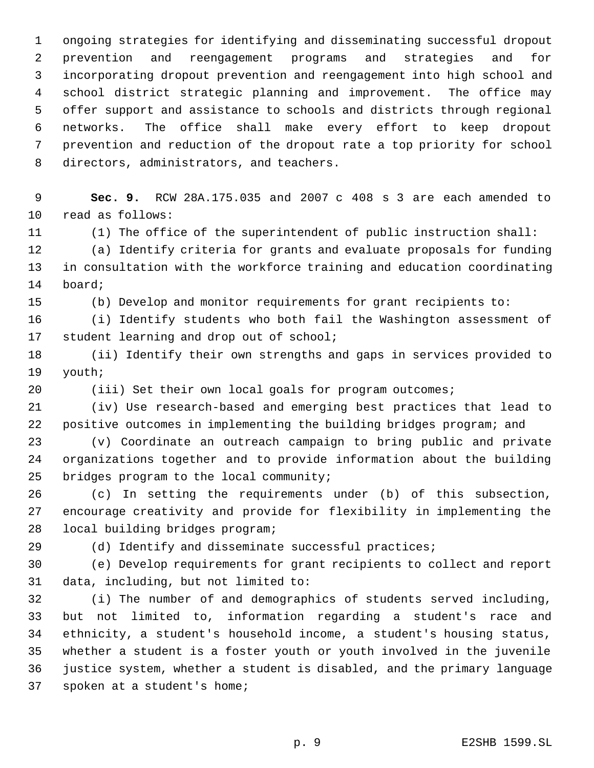ongoing strategies for identifying and disseminating successful dropout prevention and reengagement programs and strategies and for incorporating dropout prevention and reengagement into high school and school district strategic planning and improvement. The office may offer support and assistance to schools and districts through regional networks. The office shall make every effort to keep dropout prevention and reduction of the dropout rate a top priority for school directors, administrators, and teachers.

 **Sec. 9.** RCW 28A.175.035 and 2007 c 408 s 3 are each amended to read as follows:

(1) The office of the superintendent of public instruction shall:

 (a) Identify criteria for grants and evaluate proposals for funding in consultation with the workforce training and education coordinating board;

(b) Develop and monitor requirements for grant recipients to:

 (i) Identify students who both fail the Washington assessment of 17 student learning and drop out of school;

 (ii) Identify their own strengths and gaps in services provided to youth;

(iii) Set their own local goals for program outcomes;

 (iv) Use research-based and emerging best practices that lead to positive outcomes in implementing the building bridges program; and

 (v) Coordinate an outreach campaign to bring public and private organizations together and to provide information about the building bridges program to the local community;

 (c) In setting the requirements under (b) of this subsection, encourage creativity and provide for flexibility in implementing the local building bridges program;

(d) Identify and disseminate successful practices;

 (e) Develop requirements for grant recipients to collect and report data, including, but not limited to:

 (i) The number of and demographics of students served including, but not limited to, information regarding a student's race and ethnicity, a student's household income, a student's housing status, whether a student is a foster youth or youth involved in the juvenile justice system, whether a student is disabled, and the primary language spoken at a student's home;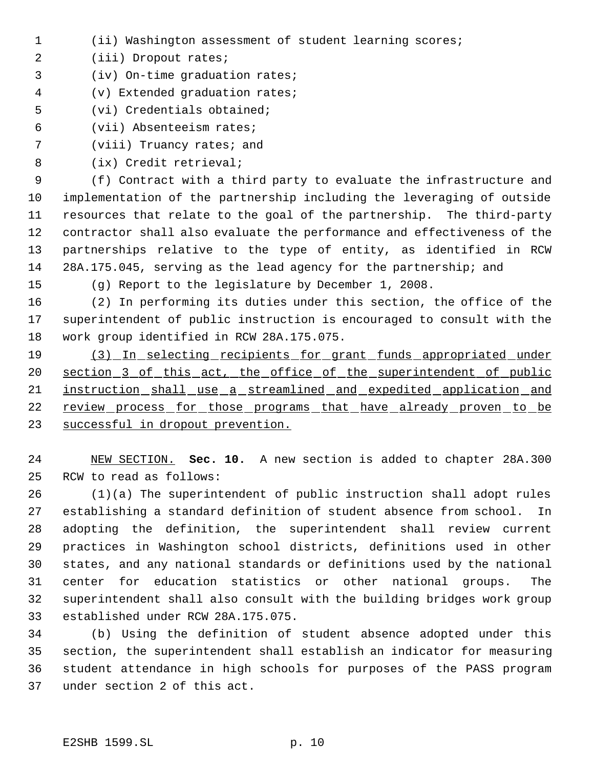- (ii) Washington assessment of student learning scores;
- 2 (iii) Dropout rates;
- (iv) On-time graduation rates;
- (v) Extended graduation rates;
- (vi) Credentials obtained;
- (vii) Absenteeism rates;
- 7 (viii) Truancy rates; and
- (ix) Credit retrieval;

 (f) Contract with a third party to evaluate the infrastructure and implementation of the partnership including the leveraging of outside resources that relate to the goal of the partnership. The third-party contractor shall also evaluate the performance and effectiveness of the partnerships relative to the type of entity, as identified in RCW 28A.175.045, serving as the lead agency for the partnership; and

(g) Report to the legislature by December 1, 2008.

 (2) In performing its duties under this section, the office of the superintendent of public instruction is encouraged to consult with the work group identified in RCW 28A.175.075.

19 (3) In selecting recipients for grant funds appropriated under 20 section 3 of this act, the office of the superintendent of public 21 instruction shall use a streamlined and expedited application and 22 review process for those programs that have already proven to be successful in dropout prevention.

 NEW SECTION. **Sec. 10.** A new section is added to chapter 28A.300 RCW to read as follows:

 (1)(a) The superintendent of public instruction shall adopt rules establishing a standard definition of student absence from school. In adopting the definition, the superintendent shall review current practices in Washington school districts, definitions used in other states, and any national standards or definitions used by the national center for education statistics or other national groups. The superintendent shall also consult with the building bridges work group established under RCW 28A.175.075.

 (b) Using the definition of student absence adopted under this section, the superintendent shall establish an indicator for measuring student attendance in high schools for purposes of the PASS program under section 2 of this act.